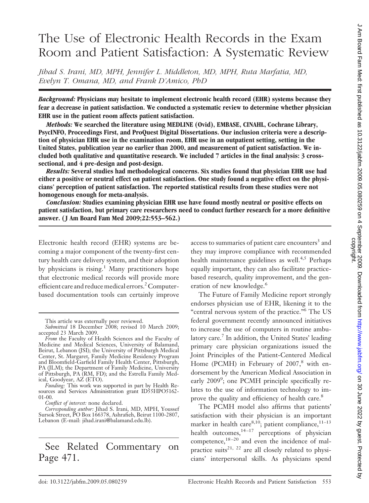# The Use of Electronic Health Records in the Exam Room and Patient Satisfaction: A Systematic Review

*Jihad S. Irani, MD, MPH, Jennifer L. Middleton, MD, MPH, Ruta Marfatia, MD, Evelyn T. Omana, MD, and Frank D'Amico, PhD*

*Background:* **Physicians may hesitate to implement electronic health record (EHR) systems because they fear a decrease in patient satisfaction. We conducted a systematic review to determine whether physician EHR use in the patient room affects patient satisfaction.**

*Methods:* **We searched the literature using MEDLINE (Ovid), EMBASE, CINAHL, Cochrane Library, PsycINFO, Proceedings First, and ProQuest Digital Dissertations. Our inclusion criteria were a description of physician EHR use in the examination room, EHR use in an outpatient setting, setting in the United States, publication year no earlier than 2000, and measurement of patient satisfaction. We included both qualitative and quantitative research. We included 7 articles in the final analysis: 3 crosssectional, and 4 pre-design and post-design.**

*Results:* **Several studies had methodological concerns. Six studies found that physician EHR use had either a positive or neutral effect on patient satisfaction. One study found a negative effect on the physicians' perception of patient satisfaction. The reported statistical results from these studies were not homogenous enough for meta-analysis.**

*Conclusion:* **Studies examining physician EHR use have found mostly neutral or positive effects on patient satisfaction, but primary care researchers need to conduct further research for a more definitive answer. ( J Am Board Fam Med 2009;22:553–562.)**

Electronic health record (EHR) systems are becoming a major component of the twenty-first century health care delivery system, and their adoption by physicians is rising.<sup>1</sup> Many practitioners hope that electronic medical records will provide more efficient care and reduce medical errors.<sup>2</sup> Computerbased documentation tools can certainly improve

This article was externally peer reviewed.

*Conflict of interest:* none declared.

# See Related Commentary on Page 471.

access to summaries of patient care encounters<sup>3</sup> and they may improve compliance with recommended health maintenance guidelines as well.<sup>4,5</sup> Perhaps equally important, they can also facilitate practicebased research, quality improvement, and the generation of new knowledge.<sup>6</sup>

The Future of Family Medicine report strongly endorses physician use of EHR, likening it to the "central nervous system of the practice."6 The US federal government recently announced initiatives to increase the use of computers in routine ambulatory care.<sup>7</sup> In addition, the United States' leading primary care physician organizations issued the Joint Principles of the Patient-Centered Medical Home (PCMH) in February of  $2007$ ,<sup>8</sup> with endorsement by the American Medical Association in early 2009<sup>9</sup>; one PCMH principle specifically relates to the use of information technology to improve the quality and efficiency of health care.<sup>8</sup>

The PCMH model also affirms that patients' satisfaction with their physician is an important marker in health care<sup>8,10</sup>; patient compliance,<sup>11-13</sup> health outcomes,  $14-17$  perceptions of physician competence, $18-20$  and even the incidence of malpractice suits<sup>21, 22</sup> are all closely related to physicians' interpersonal skills. As physicians spend

*Submitted* 18 December 2008; revised 10 March 2009; accepted 23 March 2009.

*From* the Faculty of Health Sciences and the Faculty of Medicine and Medical Sciences, University of Balamand, Beirut, Lebanon (JSI); the University of Pittsburgh Medical Center, St. Margaret, Family Medicine Residency Program and Bloomfield-Garfield Family Health Center, Pittsburgh, PA (JLM); the Department of Family Medicine, University of Pittsburgh, PA (RM, FD); and the Estrella Family Medical, Goodyear, AZ (ETO).

*Funding:* This work was supported in part by Health Resources and Services Administration grant ID55HPO5162- 01-00.

*Corresponding author:* Jihad S. Irani, MD, MPH, Youssef Sursok Street, PO Box 166378, Ashrafieh, Beirut 1100-2807, Lebanon (E-mail: jihad.irani@balamand.edu.lb).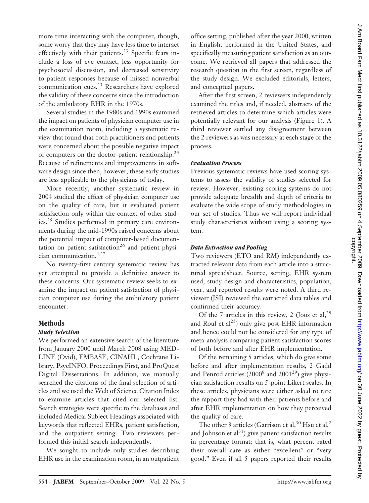more time interacting with the computer, though, some worry that they may have less time to interact effectively with their patients.<sup>23</sup> Specific fears include a loss of eye contact, less opportunity for psychosocial discussion, and decreased sensitivity to patient responses because of missed nonverbal communication cues.23 Researchers have explored the validity of these concerns since the introduction of the ambulatory EHR in the 1970s.

Several studies in the 1980s and 1990s examined the impact on patients of physician computer use in the examination room, including a systematic review that found that both practitioners and patients were concerned about the possible negative impact of computers on the doctor-patient relationship.<sup>24</sup> Because of refinements and improvements in software design since then, however, these early studies are less applicable to the physicians of today.

More recently, another systematic review in 2004 studied the effect of physician computer use on the quality of care, but it evaluated patient satisfaction only within the context of other studies.<sup>25</sup> Studies performed in primary care environments during the mid-1990s raised concerns about the potential impact of computer-based documentation on patient satisfaction<sup>26</sup> and patient-physician communication.4,27

No twenty-first century systematic review has yet attempted to provide a definitive answer to these concerns. Our systematic review seeks to examine the impact on patient satisfaction of physician computer use during the ambulatory patient encounter.

#### **Methods**

#### *Study Selection*

We performed an extensive search of the literature from January 2000 until March 2008 using MED-LINE (Ovid), EMBASE, CINAHL, Cochrane Library, PsycINFO, Proceedings First, and ProQuest Digital Dissertations. In addition, we manually searched the citations of the final selection of articles and we used the Web of Science Citation Index to examine articles that cited our selected list. Search strategies were specific to the databases and included Medical Subject Headings associated with keywords that reflected EHRs, patient satisfaction, and the outpatient setting. Two reviewers performed this initial search independently.

We sought to include only studies describing EHR use in the examination room, in an outpatient office setting, published after the year 2000, written in English, performed in the United States, and specifically measuring patient satisfaction as an outcome. We retrieved all papers that addressed the research question in the first screen, regardless of the study design. We excluded editorials, letters, and conceptual papers.

After the first screen, 2 reviewers independently examined the titles and, if needed, abstracts of the retrieved articles to determine which articles were potentially relevant for our analysis (Figure 1). A third reviewer settled any disagreement between the 2 reviewers as was necessary at each stage of the process.

#### *Evaluation Process*

Previous systematic reviews have used scoring systems to assess the validity of studies selected for review. However, existing scoring systems do not provide adequate breadth and depth of criteria to evaluate the wide scope of study methodologies in our set of studies. Thus we will report individual study characteristics without using a scoring system.

#### *Data Extraction and Pooling*

Two reviewers (ETO and RM) independently extracted relevant data from each article into a structured spreadsheet. Source, setting, EHR system used, study design and characteristics, population, year, and reported results were noted. A third reviewer (JSI) reviewed the extracted data tables and confirmed their accuracy.

Of the 7 articles in this review, 2 (Joos et al,  $2^8$ ) and Rouf et  $al^{23}$ ) only give post-EHR information and hence could not be considered for any type of meta-analysis comparing patient satisfaction scores of both before and after EHR implementation.

Of the remaining 5 articles, which do give some before and after implementation results, 2 Gadd and Penrod articles  $(2000^8 \text{ and } 2001^2)$  give physician satisfaction results on 5-point Likert scales. In these articles, physicians were either asked to rate the rapport they had with their patients before and after EHR implementation on how they perceived the quality of care.

The other 3 articles (Garrison et al,  $30$  Hsu et al,  $2$ and Johnson et  $al<sup>31</sup>$ ) give patient satisfaction results in percentage format; that is, what percent rated their overall care as either "excellent" or "very good." Even if all 5 papers reported their results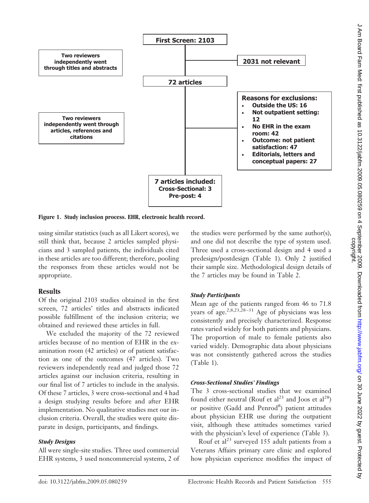

**Figure 1. Study inclusion process. EHR, electronic health record.**

using similar statistics (such as all Likert scores), we still think that, because 2 articles sampled physicians and 3 sampled patients, the individuals cited in these articles are too different; therefore, pooling the responses from these articles would not be appropriate.

# **Results**

Of the original 2103 studies obtained in the first screen, 72 articles' titles and abstracts indicated possible fulfillment of the inclusion criteria; we obtained and reviewed these articles in full.

We excluded the majority of the 72 reviewed articles because of no mention of EHR in the examination room (42 articles) or of patient satisfaction as one of the outcomes (47 articles). Two reviewers independently read and judged those 72 articles against our inclusion criteria, resulting in our final list of 7 articles to include in the analysis. Of these 7 articles, 3 were cross-sectional and 4 had a design studying results before and after EHR implementation. No qualitative studies met our inclusion criteria. Overall, the studies were quite disparate in design, participants, and findings.

#### *Study Designs*

All were single-site studies. Three used commercial EHR systems, 3 used noncommercial systems, 2 of the studies were performed by the same author(s), and one did not describe the type of system used. Three used a cross-sectional design and 4 used a predesign/postdesign (Table 1). Only 2 justified their sample size. Methodological design details of the 7 articles may be found in Table 2*.*

# *Study Participants*

Mean age of the patients ranged from 46 to 71.8 years of age.<sup>2,8,23,28-31</sup> Age of physicians was less consistently and precisely characterized. Response rates varied widely for both patients and physicians. The proportion of male to female patients also varied widely. Demographic data about physicians was not consistently gathered across the studies (Table 1).

#### *Cross-Sectional Studies' Findings*

The 3 cross-sectional studies that we examined found either neutral (Rouf et  $al^{23}$  and Joos et  $al^{28}$ ) or positive (Gadd and Penrod<sup>8</sup>) patient attitudes about physician EHR use during the outpatient visit, although these attitudes sometimes varied with the physician's level of experience (Table 3).

Rouf et al<sup>23</sup> surveyed 155 adult patients from a Veterans Affairs primary care clinic and explored how physician experience modifies the impact of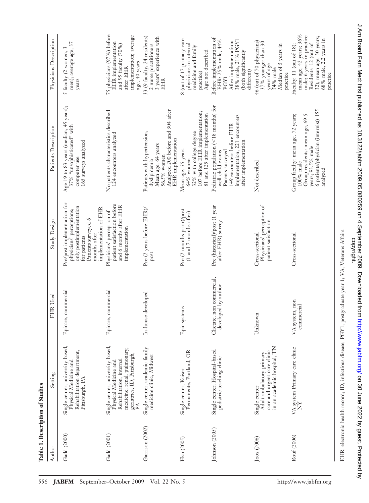75 physicians (97%) before mean age, 42 years; 36% 75 physicians (97%) before implementation; average mean age, 42 years; 36% male; 6 years in practice implementation; average 33 (9 faculty, 24 residents) 33 (9 faculty, 24 residents) 3 years' experience with male; 6 years in practice  $32$ ); mean age,  $30$  years;<br> $68\%$  male;  $2.2$  years in 3 years' experience with 32); mean age, 30 years; Physicians Description Before implementation of Before implementation of 8 (out of 17 primary care Author Setting Description EHR Used Study Design Patients Description Patients Description Physicians Description 8 (out of 17 primary care EHR: 25% male, 44% 38% male, 21% PGY1 46 (out of 70 physicians)<br> $37\%$  younger than 30 years of age 68% male; 2.2 years in EHR implementation EHR: 25% male, 44% After implementation: 38% male, 21% PGY1 men); average age, 37 Not described 46 (out of 70 physicians) men); average age, 37 EHR implementation After implementation: 37% younger than 30 2 nurse practitioners physicians in internal Median of 5 years in Residents: 12 (out of and 95 faculty (70%) and 95 faculty (70%) physicians in internal Faculty: 11 (out of 18); Residents: 12 (out of 2 nurse practitioners medicine and family Median of 5 years in Faculty: 11 (out of 18); medicine and family 5 faculty (2 women, 3  $\,$ 5 faculty (2 women, 3 (both significantly practice)<br>Age not described Age not described (both significantly age, 40 years age, 40 years after EHR after EHR 54% male 54% male different) practice practice PGY1 years EHR Pediatric population (<18 months) for Age 19 to 83 years (median, 45 years); 18 months) for Age 19 to 83 years (median, 45 years); No patients characteristics described Analyzed 200 before and 304 after 6 patients/physician (internist) 155 Analyzed 200 before and 304 after  $32\%$  with college degree<br>107 before EHR implementation; 6 patients/physician (internist) 155 No patients characteristics described 107 before EHR implementation; 81 and 125 after implementation 81 and 125 after implementation Group faculty: mean age, 72 years, Group residents: mean age, 69.5 implementation; 221 encounters Cross-sectional Group faculty: mean age, 72 years; implementation; 221 encounters Group residents: mean age, 69.5 49 encounters before EHR 37% "unsophisticated" with 149 encounters before EHR 37% "unsophisticated" with Patients Description Patients with hypertension, Patients with hypertension, 32% with college degree 124 encounters analyzed 124 encounters analyzed 165 surveys analyzed EHR implementation EHR implementation after implementation after implementation 165 surveys analyzed Mean age, 64 years Pediatric population ( Mean age, 64 years years; 93.5% male years; 93.5% male Mean age, 55 years Mean age, 55 years Parents surveyed well child exams Parents surveyed well child exams 56.5% women computer use 56.5% women computer use  $64\%$  women dyslipidemia 64% women dyslipidemia Not described 100% male 100% male analyzed Pre/post implementation for Epicare, commercial Pre/post implementation for patient satisfaction before Physicians' perception of patient satisfaction before Pre (historical)/post (1 year Physicians' perception of only postimplementation only postimplementation and 6 months after EHR and 6 months after EHR Pre (historical)/post (1 year implementation of EHR implementation of EHR Pre (2 years before EHR)/ In-house developed Pre (2 years before EHR)/ Pre (2 months prior)/post physicians' perceptions; Physicians' perception of Epic systems Pre (2 months prior)/post physicians' perceptions; Epicare, commercial Physicians' perception of (1 and 7 months after) (1 and 7 months after) Patients surveyed 6 Patients surveyed 6 Study Design after EHR) survey patient satisfaction after EHR) survey patient satisfaction implementation implementation Cross-sectional months after Unknown Cross-sectional Cross-sectional months after for patients post Clictate, non commercial, Clictate, non commercial, developed by author developed by author Epicare, commercial Epicare, commercial In-house developed EHR Used VA system, non VA system, non commercial commercial Epic systems Unknown Single center, university based, Single center, university based, Single center, academic family VA system Primary care clinic Gadd (2000) Single center, university based, Gadd (2001) Single center, university based, in an academic hospital; TN in an academic hospital; TN Garrison (2002) Single center, academic family medicine, renal, pulmonary, medicine, renal, pulmonary, Single center, Hospital-based Rouf (2006) VA system Primary care clinic Rehabilitation department, Permanente, Portland, OR Johnson (2005) Single center, Hospital-based care and urgent care clinic Rehabilitation department, Permanente, Portland, OR Adult ambulatory primary care and urgent care clinic geriatrics, ID, Pittsburgh, Adult ambulatory primary geriatrics, ID, Pittsburgh, medicine clinic, Midwest medicine clinic, Midwest pediatric teaching clinic pediatric teaching clinic Rehabilitation, internal Rehabilitation, internal Physical Medicine and Physical Medicine and Physical Medicine and Physical Medicine and Single center, Kaiser Hsu (2005) Single center, Kaiser Setting Pittsburgh, PA Pittsburgh, PA Single center Joos (2006) Single center PA NY Garrison (2002) Johnson (2005) Gadd (2001) **Gadd** (2000) Rouf (2006) Joos (2006) Hsu (2005) Author

J Am Board Fam Med: first published as 10.3122/jabfm.2009.05.080259 on 4 September 2009. Downloaded from http://www.jabfm.org/ on 30 June 2022 by guest. Protected by<br>copyright. d 2022 by guest. Protected as 10.3122/jabi/in.org/ June 2009.0802. Downloaded from Board Fam Media 10.009. Downloaded from Media Media 10.02. Dy guest. Protected by guest. Protected by guest. Protected from Digitm.org/ Jun

EHR, electronic health record; ID, infectious disease; PGY1, postgraduate year 1; VA, Veterans Affairs.

EHR, electronic health record; ID, infectious disease; PGY1, postgraduate year 1; VA, Veterans Affairs.

**Table 1. Description of Studies**

Table 1. Description of Studies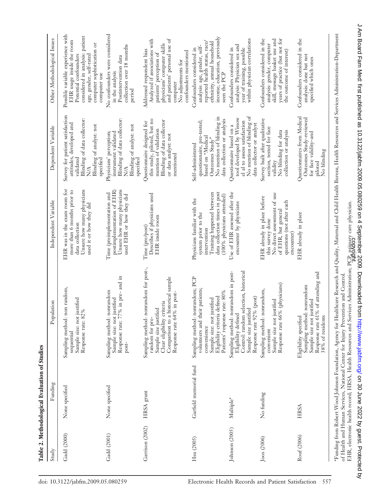| monomonom       |                                                          |                                                                                                                                                                                    |                                                                                                                                                                 |                                                                                                                                                                |                                                                                                                                                                                                                  |
|-----------------|----------------------------------------------------------|------------------------------------------------------------------------------------------------------------------------------------------------------------------------------------|-----------------------------------------------------------------------------------------------------------------------------------------------------------------|----------------------------------------------------------------------------------------------------------------------------------------------------------------|------------------------------------------------------------------------------------------------------------------------------------------------------------------------------------------------------------------|
| Study           | Funding                                                  | Population                                                                                                                                                                         | Independent Variable                                                                                                                                            | Dependent Variable                                                                                                                                             | Other Methodological Issues                                                                                                                                                                                      |
| Gadd (2000)     | None specified                                           | Sampling method: non random,<br>Sample size: not justified<br>82%<br>Response rate:<br>sequential                                                                                  | EHR was in the exam room for<br>Unsure how many physicians<br>more than 6 months prior to<br>used it or how they did<br>data collection                         | Survey for patient satisfaction<br>Blinding of data collector:<br>attitudes, developed and<br>Blinding of analyst: not<br>specified<br>validated<br><b>N/A</b> | Possible variable experience with<br>considered in analysis: patient<br>EHR usage inside the room<br>computer sophistication or<br>Potential confounders<br>age, gender, self-rated<br>computer use              |
| Gadd (2001)     | None specified                                           | $77\%$ in pre- and in<br>Sampling method: nonrandom<br>Sample size: not justified<br>Response rate:<br>post-                                                                       | Unsure how many physicians<br>postimplementation of EHR)<br>Time (preimplementation and<br>used EHR or how they did                                             | Blinding of data collector:<br>Blinding of analyst: not<br>Physicians' perception;<br>instrument validated<br>specified<br><b>N/A</b>                          | No confounders were considered<br>collection over 18 months<br>Postintervention data<br>in the analysis<br>period                                                                                                |
| Garrison (2002) | HRSA grant                                               | Sampling method: nonrandom for post-,<br>Comparison to a historical sample<br>Response rate 64% in post-<br>Clear eligibility criteria<br>Sample size justified<br>random for pre- | Describes if physicians used<br>EHR inside room<br>Time (pre/post)                                                                                              | this study, piloted, but no<br>Blinding of data collector<br>Questionnaire designed for<br>mention of validation<br>or data analyst: not<br>mentioned          | and patients' personal use of<br>Analyzed if associations with<br>physicians' computer skills<br>Addressed respondent bias<br>confounders mentioned<br>patients' perception of<br>No adjustments for<br>computer |
| Hsu (2005)      | Garfield memorial fund                                   | Sampling method: nonrandom; PCP<br>their patients;<br>Eligibility criteria defined<br>Patients' response rate: 80%<br>Sample size: not justified<br>volunteers and<br>convenience  | data collection times in post<br>Training happened between<br>(100% physicians attended)<br>Physicians familiar with the<br>system prior to the<br>intervention | No mention of blinding in<br>data collection or analysis<br>questionnaire, pre-tested;<br>based on "Medical<br>Outcomes Study"<br>Self-administered            | income, education, previously<br>reported health status, race/<br>ethnicity, annual household<br>analysis: age, gender, self-<br>Confounders considered in<br>seen the PCP                                       |
| Johnson (2005)  | Multiple*                                                | Sampling method: nonrandom in post-<br>Control: random selection, historical<br>Response rate 92% (post)<br>Sample size justified<br>Eligibility defined                           | Use of EHR assessed after the<br>encounter by physicians                                                                                                        | No mention of blinding of<br>tool developed by Wissow<br>el al to assess satisfaction<br>data collector or analyst<br>Questionnaire based on a                 | within physician correlations<br>analysis: Physician sex and<br>year of training, possible<br>Confounders considered in                                                                                          |
| Joos (2006)     | No funding                                               | Response rate 66% (physicians)<br>Sampling method: nonrandom,<br>Sample size not justified<br>convenient                                                                           | No direct assessment of use<br>EHR already in place before<br>questions (not after each<br>of EHR, but general<br>this survey done<br>encounter)                | Survey built after qualitative<br>section, tested for face<br>No blinding for data<br>collection or analysis<br>validity                                       | Confounders considered in the<br>skill, message basket use and<br>years of practice (but not for<br>analysis: gender, computer<br>the outcome of interest)                                                       |
| Rouf (2006)     | HRSA                                                     | Response rate 61% of attending and<br>Sampling method: nonrandom<br>Sample size not justified<br>38% of residents<br>Eligibility specified                                         | EHR already in place                                                                                                                                            | Questionnaires from Medical<br>Outcomes Study-reviewed<br>for face validity-and<br>No blinding<br>piloted                                                      | Confounders considered in the<br>analysis: done but not<br>specified which ones                                                                                                                                  |
|                 | *Funding from Robert Wood Johnson Foundation, Agency for | of Health and Human Services, National Center for Injury Prevention and Control.                                                                                                   | Healthcare Research and Quality, Maternal and Child Health Bureau, Health Resources and Services Administration-Department                                      |                                                                                                                                                                |                                                                                                                                                                                                                  |

Table 2. Methodological Evaluation of Studies **Table 2. Methodological Evaluation of Studies** EHR, electronic health record; HRSA, Health Resources and Services Administration; PCP, primary care physician.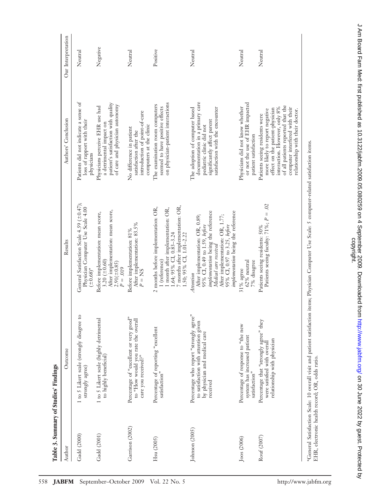| Table 3. Summary of Studies' Findings |                                                                                                                             |                                                                                                                                                                                                                                                      |                                                                                                                                                                                                                                                |                    |
|---------------------------------------|-----------------------------------------------------------------------------------------------------------------------------|------------------------------------------------------------------------------------------------------------------------------------------------------------------------------------------------------------------------------------------------------|------------------------------------------------------------------------------------------------------------------------------------------------------------------------------------------------------------------------------------------------|--------------------|
| Author                                | Outcome                                                                                                                     | Results                                                                                                                                                                                                                                              | Authors' Conclusion                                                                                                                                                                                                                            | Our Interpretation |
| Gadd (2000)                           | 1 to 5 Likert scale (strongly disagree to<br>strongly agree)                                                                | General Satisfaction Scale 4.59 (±0.47);<br>Physician Computer Use Scale 4.00<br>$(1.68)$ *                                                                                                                                                          | Patients did not indicate a sense of<br>loss of rapport with their<br>physicians                                                                                                                                                               | Neutral            |
| Gadd (2001)                           | 1 to 5 Likert scale (highly detrimental<br>to highly beneficial)                                                            | After implementation: mean score,<br>Before implementation: mean score,<br>3.20 $(\pm 0.60)$<br>$2.91(\pm 0.85)$<br>$P = .019$                                                                                                                       | patient's satisfaction with quality<br>of care and physician autonomy<br>Physicians perceive EHR use had<br>a detrimental impact on                                                                                                            | Negative           |
| Garrison (2002)                       | Percentage of "excellent or very good"<br>to "How would you rate the overall<br>care you received?"                         | After implementation: 83.5%<br>Before implementation: 81%<br>$P = NS$                                                                                                                                                                                | introduction of point-of-care<br>computers at the clinic<br>No difference in patient<br>satisfaction after the                                                                                                                                 | Neutral            |
| Hsu (2005)                            | Percentage of reporting "excellent<br>satisfaction"                                                                         | 7 months after implementation: OR,<br>2 months before implementation: OR,<br>1 month after implementation: OR,<br>1.64; 95% CI, 0.83-3.24<br>1.50; 95% CI, 1.01-2.22<br>1 (reference)                                                                | on physician-patient interactions<br>The examination room computers<br>seemed to have positive effects                                                                                                                                         | Positive           |
| Johnson (2005)                        | Percentage who report "strongly agree"<br>to satisfaction with attention given<br>by physician and medical care<br>received | implementation being the reference<br>implementation being the reference<br>After implementation: OR, 0.89;<br>After implementation: OR, 1.77;<br>95% CI, 0.97 to 3.25, before<br>95% CI, 0.49 to 1.59, before<br>Medical care received<br>Attention | documentation in a primary care<br>The adoption of computer based<br>satisfaction with the encounter<br>significantly affect parent<br>pediatric clinic did not                                                                                | Neutral            |
| Joos (2006)                           | Percentage of response to "the new<br>system has increased patient<br>satisfaction"                                         | 62% neutral<br>7% disagree<br>31% agree                                                                                                                                                                                                              | or not the use of EHR impacted<br>Physicians did not know whether<br>patient satisfaction                                                                                                                                                      | Neutral            |
| Rouf (2007)                           | Percentage that "strongly agree" they<br>relationship with physician<br>were satisfied with overall                         | Patients seeing faculty: $71\%$ ; $P = .02$<br>Patients seeing residents: 50%                                                                                                                                                                        | of all patients reported that the<br>interaction. However, only 8%<br>computer interfered with their<br>effect on the patient-physician<br>more likely to report negative<br>relationship with their doctor.<br>Patients seeing residents were | Neutral            |
|                                       |                                                                                                                             | *General Satisfaction Scale: 10 overall visit and patient satisfaction items; Physician Computer Use Scale: 5 computer-related satisfaction items.                                                                                                   |                                                                                                                                                                                                                                                |                    |

EHR, electronic health record; OR, odds ratio. EHR, electronic health record; OR, odds ratio. J Am Board Fam Med: first published as 10.312/jabfm.2009.05.080259 on 4 September 2009. Downloaded from http://www.jabfm.org/ on 30 June 2022 by guest. Protected by<br>copyright. d 2022 by guest. Protected as 10.3122/jabi/in.org/ June 2009.0802. Downloaded from Board Fam Media 10.009. Downloaded from Media Media 10.02. Dy guest. Protected by guest. Protected by guest. Protected from Digitm.org/ Jun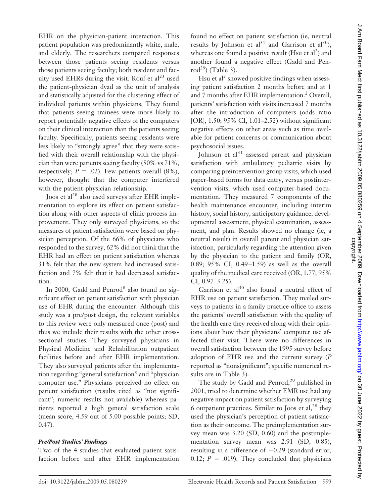EHR on the physician-patient interaction. This patient population was predominantly white, male, and elderly. The researchers compared responses between those patients seeing residents versus those patients seeing faculty; both resident and faculty used EHRs during the visit. Rouf et  $al<sup>23</sup>$  used the patient-physician dyad as the unit of analysis and statistically adjusted for the clustering effect of individual patients within physicians. They found that patients seeing trainees were more likely to report potentially negative effects of the computers on their clinical interaction than the patients seeing faculty. Specifically, patients seeing residents were less likely to "strongly agree" that they were satisfied with their overall relationship with the physician than were patients seeing faculty (50% vs 71%, respectively;  $P = .02$ ). Few patients overall (8%), however, thought that the computer interfered with the patient-physician relationship.

Joos et al<sup>28</sup> also used surveys after EHR implementation to explore its effect on patient satisfaction along with other aspects of clinic process improvement. They only surveyed physicians, so the measures of patient satisfaction were based on physician perception. Of the 66% of physicians who responded to the survey, 62% did not think that the EHR had an effect on patient satisfaction whereas 31% felt that the new system had increased satisfaction and 7% felt that it had decreased satisfaction.

In 2000, Gadd and Penrod<sup>8</sup> also found no significant effect on patient satisfaction with physician use of EHR during the encounter. Although this study was a pre/post design, the relevant variables to this review were only measured once (post) and thus we include their results with the other crosssectional studies*.* They surveyed physicians in Physical Medicine and Rehabilitation outpatient facilities before and after EHR implementation. They also surveyed patients after the implementation regarding "general satisfaction" and "physician computer use." Physicians perceived no effect on patient satisfaction (results cited as "not significant"; numeric results not available) whereas patients reported a high general satisfaction scale (mean score, 4.59 out of 5.00 possible points; SD, 0.47).

# *Pre/Post Studies' Findings*

Two of the 4 studies that evaluated patient satisfaction before and after EHR implementation found no effect on patient satisfaction (ie, neutral results by Johnson et al<sup>31</sup> and Garrison et al<sup>30</sup>), whereas one found a positive result (Hsu et al<sup>2</sup>) and another found a negative effect (Gadd and Pen $rod<sup>29</sup>$  (Table 3).

Hsu et  $al^2$  showed positive findings when assessing patient satisfaction 2 months before and at 1 and 7 months after EHR implementation.<sup>2</sup> Overall, patients' satisfaction with visits increased 7 months after the introduction of computers (odds ratio [OR], 1.50; 95% CI, 1.01–2.52) without significant negative effects on other areas such as time available for patient concerns or communication about psychosocial issues.

Johnson et  $al<sup>31</sup>$  assessed parent and physician satisfaction with ambulatory pediatric visits by comparing preintervention group visits, which used paper-based forms for data entry, versus postintervention visits, which used computer-based documentation. They measured 7 components of the health maintenance encounter, including interim history, social history, anticipatory guidance, developmental assessment, physical examination, assessment, and plan. Results showed no change (ie, a neutral result) in overall parent and physician satisfaction, particularly regarding the attention given by the physician to the patient and family (OR, 0.89; 95% CI, 0.49-1.59) as well as the overall quality of the medical care received (OR, 1.77; 95% CI, 0.97–3.25).

Garrison et al $30$  also found a neutral effect of EHR use on patient satisfaction. They mailed surveys to patients in a family practice office to assess the patients' overall satisfaction with the quality of the health care they received along with their opinions about how their physicians' computer use affected their visit. There were no differences in overall satisfaction between the 1995 survey before adoption of EHR use and the current survey (*P* reported as "nonsignificant"; specific numerical results are in Table 3).

The study by Gadd and Penrod,<sup>29</sup> published in 2001, tried to determine whether EMR use had any negative impact on patient satisfaction by surveying 6 outpatient practices. Similar to Joos et al, $^{28}$  they used the physician's perception of patient satisfaction as their outcome. The preimplementation survey mean was 3.20 (SD, 0.60) and the postimplementation survey mean was 2.91 (SD, 0.85), resulting in a difference of  $-0.29$  (standard error, 0.12;  $P = .019$ ). They concluded that physicians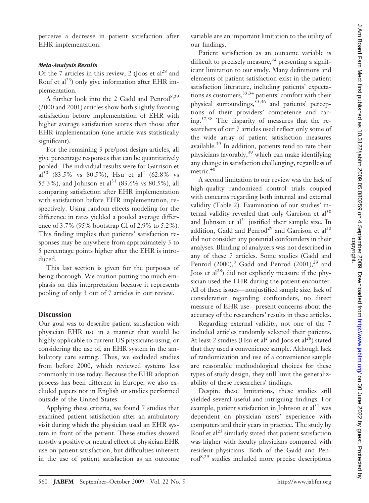perceive a decrease in patient satisfaction after EHR implementation.

#### *Meta-Analysis Results*

Of the 7 articles in this review, 2 (Joos et  $al^{28}$  and Rouf et al<sup>23</sup>) only give information after EHR implementation.

A further look into the 2 Gadd and Penrod<sup>8,29</sup> (2000 and 2001) articles show both slightly favoring satisfaction before implementation of EHR with higher average satisfaction scores than those after EHR implementation (one article was statistically significant).

For the remaining 3 pre/post design articles, all give percentage responses that can be quantitatively pooled. The individual results were for Garrison et al<sup>30</sup> (83.5% vs 80.5%), Hsu et al<sup>2</sup> (62.8% vs 55.3%), and Johnson et al<sup>31</sup> (83.6% vs 80.5%), all comparing satisfaction after EHR implementation with satisfaction before EHR implementation, respectively. Using random effects modeling for the difference in rates yielded a pooled average difference of 3.7% (95% bootstrap CI of 2.9% to 5.2%). This finding implies that patients' satisfaction responses may be anywhere from approximately 3 to 5 percentage points higher after the EHR is introduced.

This last section is given for the purposes of being thorough. We caution putting too much emphasis on this interpretation because it represents pooling of only 3 out of 7 articles in our review.

#### **Discussion**

Our goal was to describe patient satisfaction with physician EHR use in a manner that would be highly applicable to current US physicians using, or considering the use of, an EHR system in the ambulatory care setting. Thus, we excluded studies from before 2000, which reviewed systems less commonly in use today. Because the EHR adoption process has been different in Europe, we also excluded papers not in English or studies performed outside of the United States.

Applying these criteria, we found 7 studies that examined patient satisfaction after an ambulatory visit during which the physician used an EHR system in front of the patient. These studies showed mostly a positive or neutral effect of physician EHR use on patient satisfaction, but difficulties inherent in the use of patient satisfaction as an outcome variable are an important limitation to the utility of our findings.

Patient satisfaction as an outcome variable is difficult to precisely measure,<sup>32</sup> presenting a significant limitation to our study. Many definitions and elements of patient satisfaction exist in the patient satisfaction literature, including patients' expectations as customers,<sup>33,34</sup> patients' comfort with their physical surroundings,<sup>35,36</sup> and patients' perceptions of their providers' competence and caring.37,38 The disparity of measures that the researchers of our 7 articles used reflect only some of the wide array of patient satisfaction measures available.<sup>39</sup> In addition, patients tend to rate their physicians favorably,<sup>39</sup> which can make identifying any change in satisfaction challenging, regardless of metric.<sup>40</sup>

A second limitation to our review was the lack of high-quality randomized control trials coupled with concerns regarding both internal and external validity (Table 2). Examination of our studies' internal validity revealed that only Garrison et  $al<sup>30</sup>$ and Johnson et  $al<sup>31</sup>$  justified their sample size. In addition, Gadd and Penrod<sup>29</sup> and Garrison et al<sup>30</sup> did not consider any potential confounders in their analyses. Blinding of analyzers was not described in any of these 7 articles. Some studies (Gadd and Penrod (2000), $^8$  Gadd and Penrod (2001), $^{29}$  and Joos et al<sup>28</sup>) did not explicitly measure if the physician used the EHR during the patient encounter. All of these issues—nonjustified sample size, lack of consideration regarding confounders, no direct measure of EHR use—present concerns about the accuracy of the researchers' results in these articles.

Regarding external validity, not one of the 7 included articles randomly selected their patients. At least 2 studies (Hsu et al<sup>2</sup> and Joos et al<sup>28</sup>) stated that they used a convenience sample. Although lack of randomization and use of a convenience sample are reasonable methodological choices for these types of study design, they still limit the generalizability of these researchers' findings.

Despite these limitations, these studies still yielded several useful and intriguing findings. For example, patient satisfaction in Johnson et  $al<sup>31</sup>$  was dependent on physician users' experience with computers and their years in practice. The study by Rouf et  $al<sup>23</sup>$  similarly stated that patient satisfaction was higher with faculty physicians compared with resident physicians. Both of the Gadd and Penrod8,29 studies included more precise descriptions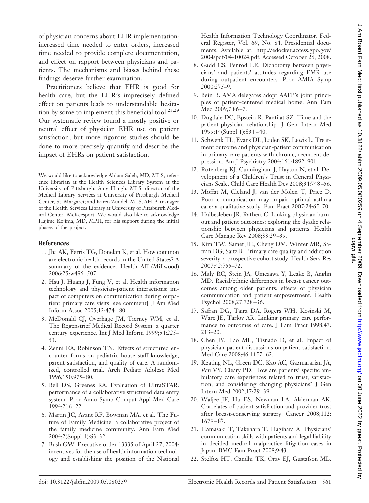of physician concerns about EHR implementation: increased time needed to enter orders, increased time needed to provide complete documentation, and effect on rapport between physicians and patients. The mechanisms and biases behind these findings deserve further examination.

Practitioners believe that EHR is good for health care, but the EHR's imprecisely defined effect on patients leads to understandable hesitation by some to implement this beneficial tool.<sup>23,29</sup> Our systematic review found a mostly positive or neutral effect of physician EHR use on patient satisfaction, but more rigorous studies should be done to more precisely quantify and describe the impact of EHRs on patient satisfaction.

We would like to acknowledge Ahlam Saleh, MD, MLS, reference librarian at the Health Sciences Library System at the University of Pittsburgh; Amy Haugh, MLS, director of the Medical Library Services at University of Pittsburgh Medical Center, St. Margaret; and Karen Zundel, MLS, AHIP, manager of the Health Services Library at University of Pittsburgh Medical Center, McKeesport. We would also like to acknowledge Hajime Kojima, MD, MPH, for his support during the initial phases of the project.

#### **References**

- 1. Jha AK, Ferris TG, Donelan K, et al. How common are electronic health records in the United States? A summary of the evidence. Health Aff (Millwood) 2006;25:w496 –507.
- 2. Hsu J, Huang J, Fung V, et al. Health information technology and physician-patient interactions: impact of computers on communication during outpatient primary care visits [see comment]. J Am Med Inform Assoc 2005;12:474 – 80.
- 3. McDonald CJ, Overhage JM, Tierney WM, et al. The Regenstrief Medical Record System: a quarter century experience. Int J Med Inform 1999;54:225– 53.
- 4. Zenni EA, Robinson TN. Effects of structured encounter forms on pediatric house staff knowledge, parent satisfaction, and quality of care. A randomized, controlled trial. Arch Pediatr Adolesc Med 1996;150:975– 80.
- 5. Bell DS, Greenes RA. Evaluation of UltraSTAR: performance of a collaborative structured data entry system. Proc Annu Symp Comput Appl Med Care 1994;216 –22.
- 6. Martin JC, Avant RF, Bowman MA, et al. The Future of Family Medicine: a collaborative project of the family medicine community. Ann Fam Med 2004;2(Suppl 1):S3–32.
- 7. Bush GW. Executive order 13335 of April 27, 2004: incentives for the use of health information technology and establishing the position of the National

Health Information Technology Coordinator. Federal Register, Vol. 69, No. 84, Presidential documents. Available at: http://edocket.access.gpo.gov/ 2004/pdf/04-10024.pdf. Accessed October 26, 2008.

- 8. Gadd CS, Penrod LE. Dichotomy between physicians' and patients' attitudes regarding EMR use during outpatient encounters. Proc AMIA Symp 2000:275–9.
- 9. Bein B. AMA delegates adopt AAFP's joint principles of patient-centered medical home. Ann Fam Med 2009;7:86-7.
- 10. Dugdale DC, Epstein R, Pantilat SZ. Time and the patient-physician relationship. J Gen Intern Med 1999;14(Suppl 1):S34 – 40.
- 11. Schwenk TL, Evans DL, Laden SK, Lewis L. Treatment outcome and physician-patient communication in primary care patients with chronic, recurrent depression. Am J Psychiatry 2004;161:1892–901.
- 12. Rotenberg KJ, Cunningham J, Hayton N, et al. Development of a Children's Trust in General Physicians Scale. Child Care Health Dev 2008;34:748 –56.
- 13. Moffat M, Cleland J, van der Molen T, Price D. Poor communication may impair optimal asthma care: a qualitative study. Fam Pract 2007;24:65–70.
- 14. Halbesleben JR, Rathert C. Linking physician burnout and patient outcomes: exploring the dyadic relationship between physicians and patients. Health Care Manage Rev 2008;33:29 –39.
- 15. Kim TW, Samet JH, Cheng DM, Winter MR, Safran DG, Saitz R. Primary care quality and addiction severity: a prospective cohort study. Health Serv Res 2007;42:755–72.
- 16. Maly RC, Stein JA, Umezawa Y, Leake B, Anglin MD. Racial/ethnic differences in breast cancer outcomes among older patients: effects of physician communication and patient empowerment. Health Psychol 2008;27:728 –36.
- 17. Safran DG, Taira DA, Rogers WH, Kosinski M, Ware JE, Tarlov AR. Linking primary care performance to outcomes of care. J Fam Pract 1998;47: 213–20.
- 18. Chen JY, Tao ML, Tisnado D, et al. Impact of physician-patient discussions on patient satisfaction. Med Care 2008;46:1157–62.
- 19. Keating NL, Green DC, Kao AC, Gazmararian JA, Wu VY, Cleary PD. How are patients' specific ambulatory care experiences related to trust, satisfaction, and considering changing physicians? J Gen Intern Med 2002;17:29 –39.
- 20. Waljee JF, Hu ES, Newman LA, Alderman AK. Correlates of patient satisfaction and provider trust after breast-conserving surgery. Cancer 2008;112: 1679 – 87.
- 21. Hamasaki T, Takehara T, Hagihara A. Physicians' communication skills with patients and legal liability in decided medical malpractice litigation cases in Japan. BMC Fam Pract 2008;9:43.
- 22. Stelfox HT, Gandhi TK, Orav EJ, Gustafson ML.